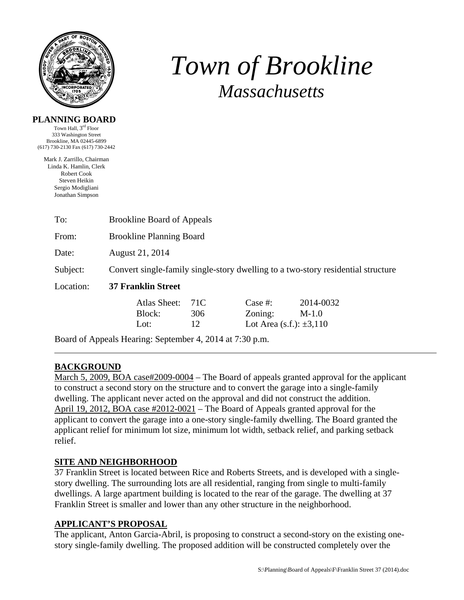

# *Town of Brookline Massachusetts*

#### **PLANNING BOARD**

Town Hall, 3rd Floor 333 Washington Street Brookline, MA 02445-6899 (617) 730-2130 Fax (617) 730-2442

Mark J. Zarrillo, Chairman Linda K. Hamlin, Clerk Robert Cook Steven Heikin Sergio Modigliani Jonathan Simpson

| To:       | <b>Brookline Board of Appeals</b>                                                |                  |                                                    |                      |  |  |
|-----------|----------------------------------------------------------------------------------|------------------|----------------------------------------------------|----------------------|--|--|
| From:     | <b>Brookline Planning Board</b>                                                  |                  |                                                    |                      |  |  |
| Date:     | August 21, 2014                                                                  |                  |                                                    |                      |  |  |
| Subject:  | Convert single-family single-story dwelling to a two-story residential structure |                  |                                                    |                      |  |  |
| Location: | <b>37 Franklin Street</b>                                                        |                  |                                                    |                      |  |  |
|           | Atlas Sheet:<br>Block:<br>Lot:                                                   | 71C<br>306<br>12 | Case #:<br>Zoning:<br>Lot Area (s.f.): $\pm 3,110$ | 2014-0032<br>$M-1.0$ |  |  |

Board of Appeals Hearing: September 4, 2014 at 7:30 p.m.

## **BACKGROUND**

March 5, 2009, BOA case#2009-0004 – The Board of appeals granted approval for the applicant to construct a second story on the structure and to convert the garage into a single-family dwelling. The applicant never acted on the approval and did not construct the addition. April 19, 2012, BOA case #2012-0021 – The Board of Appeals granted approval for the applicant to convert the garage into a one-story single-family dwelling. The Board granted the applicant relief for minimum lot size, minimum lot width, setback relief, and parking setback relief.

#### **SITE AND NEIGHBORHOOD**

37 Franklin Street is located between Rice and Roberts Streets, and is developed with a singlestory dwelling. The surrounding lots are all residential, ranging from single to multi-family dwellings. A large apartment building is located to the rear of the garage. The dwelling at 37 Franklin Street is smaller and lower than any other structure in the neighborhood.

#### **APPLICANT'S PROPOSAL**

The applicant, Anton Garcia-Abril, is proposing to construct a second-story on the existing onestory single-family dwelling. The proposed addition will be constructed completely over the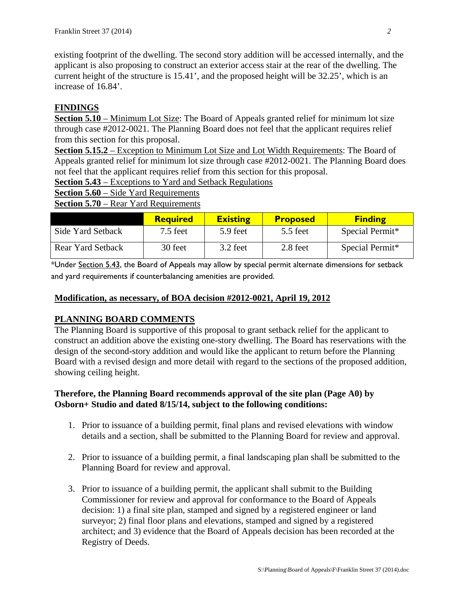existing footprint of the dwelling. The second story addition will be accessed internally, and the applicant is also proposing to construct an exterior access stair at the rear of the dwelling. The current height of the structure is 15.41', and the proposed height will be 32.25', which is an increase of 16.84'.

### **FINDINGS**

**Section 5.10** – Minimum Lot Size: The Board of Appeals granted relief for minimum lot size through case #2012-0021. The Planning Board does not feel that the applicant requires relief from this section for this proposal.

**Section 5.15.2** – Exception to Minimum Lot Size and Lot Width Requirements: The Board of Appeals granted relief for minimum lot size through case #2012-0021. The Planning Board does not feel that the applicant requires relief from this section for this proposal.

**Section 5.43** – Exceptions to Yard and Setback Regulations

**Section 5.60** – Side Yard Requirements

**Section 5.70** – Rear Yard Requirements

|                          | <b>Required</b> | <b>Existing</b> | <b>Proposed</b> | <b>Finding</b>  |
|--------------------------|-----------------|-----------------|-----------------|-----------------|
| Side Yard Setback        | $7.5$ feet      | 5.9 feet        | 5.5 feet        | Special Permit* |
| <b>Rear Yard Setback</b> | 30 feet         | 3.2 feet        | 2.8 feet        | Special Permit* |

\*Under Section 5.43, the Board of Appeals may allow by special permit alternate dimensions for setback and yard requirements if counterbalancing amenities are provided.

#### **Modification, as necessary, of BOA decision #2012-0021, April 19, 2012**

#### **PLANNING BOARD COMMENTS**

The Planning Board is supportive of this proposal to grant setback relief for the applicant to construct an addition above the existing one-story dwelling. The Board has reservations with the design of the second-story addition and would like the applicant to return before the Planning Board with a revised design and more detail with regard to the sections of the proposed addition, showing ceiling height.

#### **Therefore, the Planning Board recommends approval of the site plan (Page A0) by Osborn+ Studio and dated 8/15/14, subject to the following conditions:**

- 1. Prior to issuance of a building permit, final plans and revised elevations with window details and a section, shall be submitted to the Planning Board for review and approval.
- 2. Prior to issuance of a building permit, a final landscaping plan shall be submitted to the Planning Board for review and approval.
- 3. Prior to issuance of a building permit, the applicant shall submit to the Building Commissioner for review and approval for conformance to the Board of Appeals decision: 1) a final site plan, stamped and signed by a registered engineer or land surveyor; 2) final floor plans and elevations, stamped and signed by a registered architect; and 3) evidence that the Board of Appeals decision has been recorded at the Registry of Deeds.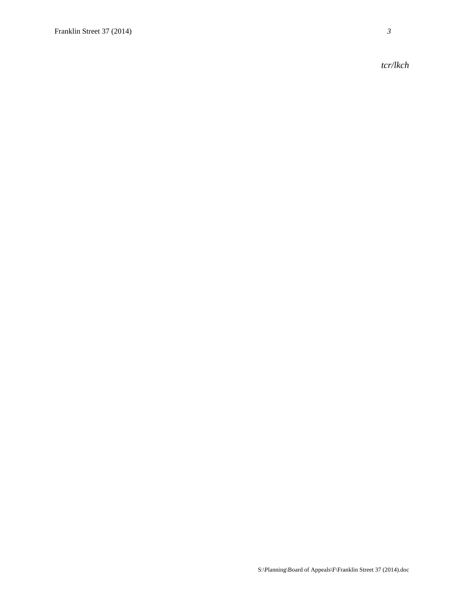*tcr/lkch*